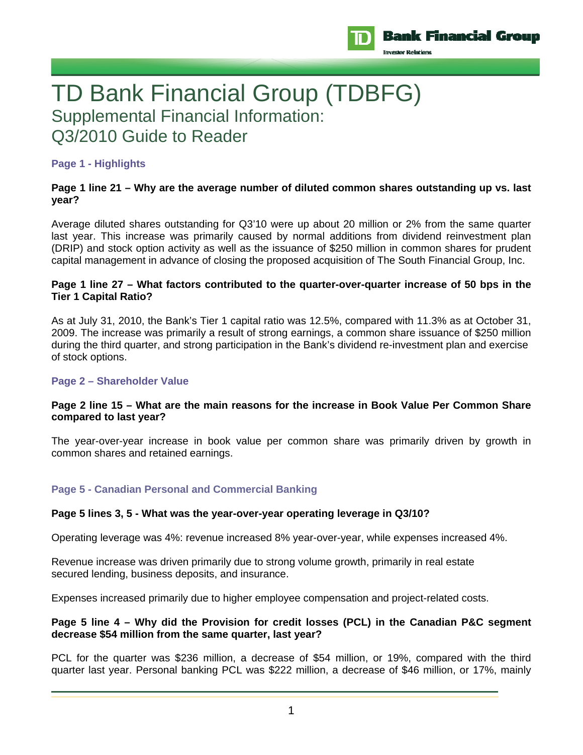

# TD Bank Financial Group (TDBFG) Supplemental Financial Information: Q3/2010 Guide to Reader

# **Page 1 - Highlights**

# **Page 1 line 21 – Why are the average number of diluted common shares outstanding up vs. last year?**

Average diluted shares outstanding for Q3'10 were up about 20 million or 2% from the same quarter last year. This increase was primarily caused by normal additions from dividend reinvestment plan (DRIP) and stock option activity as well as the issuance of \$250 million in common shares for prudent capital management in advance of closing the proposed acquisition of The South Financial Group, Inc.

## **Page 1 line 27 – What factors contributed to the quarter-over-quarter increase of 50 bps in the Tier 1 Capital Ratio?**

As at July 31, 2010, the Bank's Tier 1 capital ratio was 12.5%, compared with 11.3% as at October 31, 2009. The increase was primarily a result of strong earnings, a common share issuance of \$250 million during the third quarter, and strong participation in the Bank's dividend re-investment plan and exercise of stock options.

#### **Page 2 – Shareholder Value**

## **Page 2 line 15 – What are the main reasons for the increase in Book Value Per Common Share compared to last year?**

The year-over-year increase in book value per common share was primarily driven by growth in common shares and retained earnings.

# **Page 5 - Canadian Personal and Commercial Banking**

#### **Page 5 lines 3, 5 - What was the year-over-year operating leverage in Q3/10?**

Operating leverage was 4%: revenue increased 8% year-over-year, while expenses increased 4%.

Revenue increase was driven primarily due to strong volume growth, primarily in real estate secured lending, business deposits, and insurance.

Expenses increased primarily due to higher employee compensation and project-related costs.

## **Page 5 line 4 – Why did the Provision for credit losses (PCL) in the Canadian P&C segment decrease \$54 million from the same quarter, last year?**

PCL for the quarter was \$236 million, a decrease of \$54 million, or 19%, compared with the third quarter last year. Personal banking PCL was \$222 million, a decrease of \$46 million, or 17%, mainly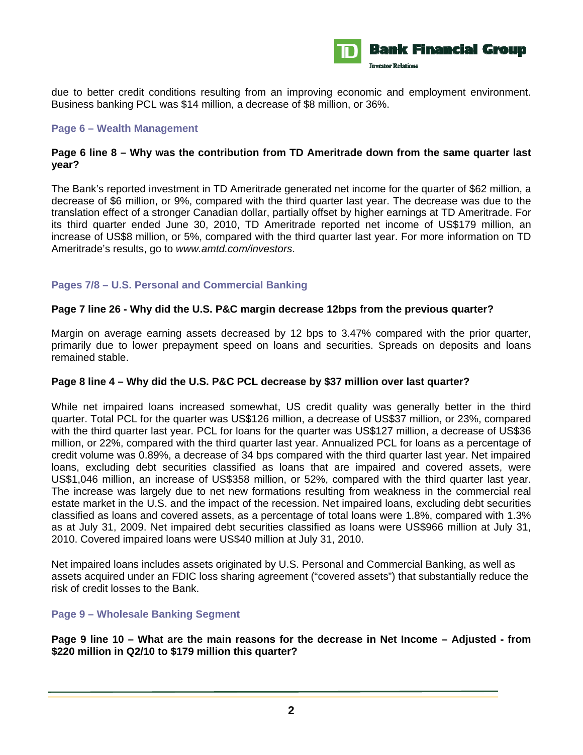

due to better credit conditions resulting from an improving economic and employment environment. Business banking PCL was \$14 million, a decrease of \$8 million, or 36%.

## **Page 6 – Wealth Management**

## **Page 6 line 8 – Why was the contribution from TD Ameritrade down from the same quarter last year?**

The Bank's reported investment in TD Ameritrade generated net income for the quarter of \$62 million, a decrease of \$6 million, or 9%, compared with the third quarter last year. The decrease was due to the translation effect of a stronger Canadian dollar, partially offset by higher earnings at TD Ameritrade. For its third quarter ended June 30, 2010, TD Ameritrade reported net income of US\$179 million, an increase of US\$8 million, or 5%, compared with the third quarter last year. For more information on TD Ameritrade's results, go to *www.amtd.com/investors*.

# **Pages 7/8 – U.S. Personal and Commercial Banking**

## **Page 7 line 26 - Why did the U.S. P&C margin decrease 12bps from the previous quarter?**

Margin on average earning assets decreased by 12 bps to 3.47% compared with the prior quarter, primarily due to lower prepayment speed on loans and securities. Spreads on deposits and loans remained stable.

#### **Page 8 line 4 – Why did the U.S. P&C PCL decrease by \$37 million over last quarter?**

While net impaired loans increased somewhat, US credit quality was generally better in the third quarter. Total PCL for the quarter was US\$126 million, a decrease of US\$37 million, or 23%, compared with the third quarter last year. PCL for loans for the quarter was US\$127 million, a decrease of US\$36 million, or 22%, compared with the third quarter last year. Annualized PCL for loans as a percentage of credit volume was 0.89%, a decrease of 34 bps compared with the third quarter last year. Net impaired loans, excluding debt securities classified as loans that are impaired and covered assets, were US\$1,046 million, an increase of US\$358 million, or 52%, compared with the third quarter last year. The increase was largely due to net new formations resulting from weakness in the commercial real estate market in the U.S. and the impact of the recession. Net impaired loans, excluding debt securities classified as loans and covered assets, as a percentage of total loans were 1.8%, compared with 1.3% as at July 31, 2009. Net impaired debt securities classified as loans were US\$966 million at July 31, 2010. Covered impaired loans were US\$40 million at July 31, 2010.

Net impaired loans includes assets originated by U.S. Personal and Commercial Banking, as well as assets acquired under an FDIC loss sharing agreement ("covered assets") that substantially reduce the risk of credit losses to the Bank.

#### **Page 9 – Wholesale Banking Segment**

**Page 9 line 10 – What are the main reasons for the decrease in Net Income – Adjusted - from \$220 million in Q2/10 to \$179 million this quarter?**